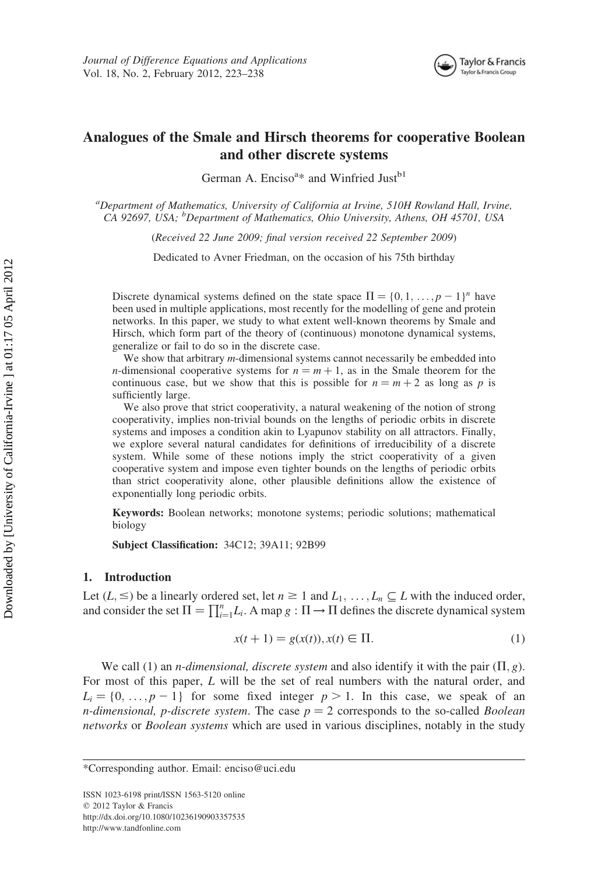

# Analogues of the Smale and Hirsch theorems for cooperative Boolean and other discrete systems

German A. Enciso<sup>a\*</sup> and Winfried Just<sup>b1</sup>

<sup>a</sup>Department of Mathematics, University of California at Irvine, 510H Rowland Hall, Irvine, CA 92697, USA; <sup>b</sup>Department of Mathematics, Ohio University, Athens, OH 45701, USA

(Received 22 June 2009; final version received 22 September 2009)

Dedicated to Avner Friedman, on the occasion of his 75th birthday

Discrete dynamical systems defined on the state space  $\Pi = \{0, 1, \ldots, p - 1\}^n$  have been used in multiple applications, most recently for the modelling of gene and protein networks. In this paper, we study to what extent well-known theorems by Smale and Hirsch, which form part of the theory of (continuous) monotone dynamical systems, generalize or fail to do so in the discrete case.

We show that arbitrary *m*-dimensional systems cannot necessarily be embedded into *n*-dimensional cooperative systems for  $n = m + 1$ , as in the Smale theorem for the continuous case, but we show that this is possible for  $n = m + 2$  as long as p is sufficiently large.

We also prove that strict cooperativity, a natural weakening of the notion of strong cooperativity, implies non-trivial bounds on the lengths of periodic orbits in discrete systems and imposes a condition akin to Lyapunov stability on all attractors. Finally, we explore several natural candidates for definitions of irreducibility of a discrete system. While some of these notions imply the strict cooperativity of a given cooperative system and impose even tighter bounds on the lengths of periodic orbits than strict cooperativity alone, other plausible definitions allow the existence of exponentially long periodic orbits.

Keywords: Boolean networks; monotone systems; periodic solutions; mathematical biology

Subject Classification: 34C12; 39A11; 92B99

#### 1. Introduction

Let  $(L, \leq)$  be a linearly ordered set, let  $n \geq 1$  and  $L_1, \ldots, L_n \subseteq L$  with the induced order, and consider the set  $\Pi = \prod_{i=1}^{n} L_i$ . A map  $g : \Pi \to \Pi$  defines the discrete dynamical system

$$
x(t + 1) = g(x(t)), x(t) \in \Pi.
$$
 (1)

We call (1) an *n-dimensional, discrete system* and also identify it with the pair  $(\Pi, g)$ . For most of this paper, L will be the set of real numbers with the natural order, and  $L_i = \{0, \ldots, p - 1\}$  for some fixed integer  $p > 1$ . In this case, we speak of an *n-dimensional, p-discrete system.* The case  $p = 2$  corresponds to the so-called *Boolean* networks or *Boolean systems* which are used in various disciplines, notably in the study

ISSN 1023-6198 print/ISSN 1563-5120 online  $© 2012 Taylor & Francis$ http://dx.doi.org/10.1080/10236190903357535 http://www.tandfonline.com

<sup>\*</sup>Corresponding author. Email: enciso@uci.edu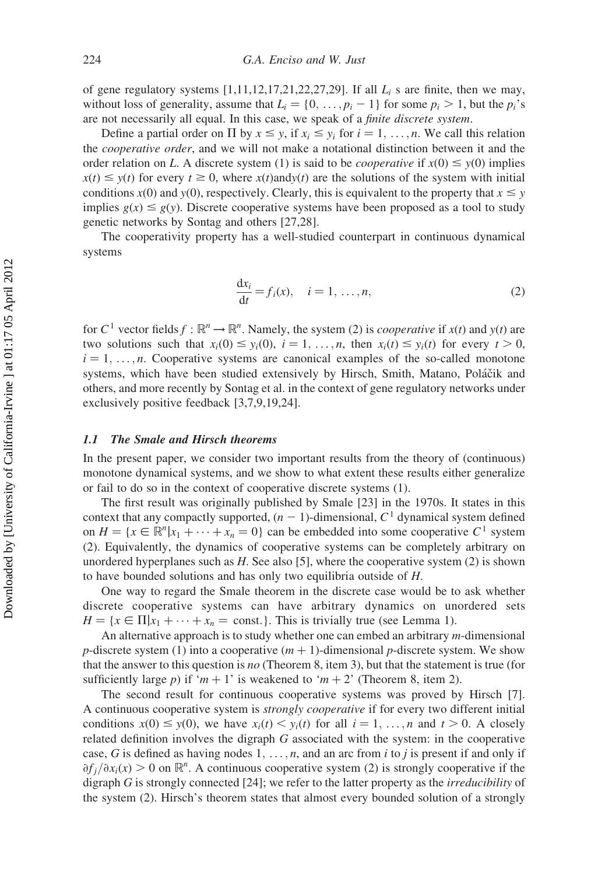of gene regulatory systems  $[1,11,12,17,21,22,27,29]$ . If all  $L_i$  s are finite, then we may, without loss of generality, assume that  $L_i = \{0, \ldots, p_i - 1\}$  for some  $p_i > 1$ , but the  $p_i$ 's are not necessarily all equal. In this case, we speak of a finite discrete system.

Define a partial order on  $\Pi$  by  $x \leq y$ , if  $x_i \leq y_i$  for  $i = 1, \ldots, n$ . We call this relation the cooperative order, and we will not make a notational distinction between it and the order relation on L. A discrete system (1) is said to be *cooperative* if  $x(0) \le y(0)$  implies  $x(t) \leq y(t)$  for every  $t \geq 0$ , where  $x(t)$  and  $y(t)$  are the solutions of the system with initial conditions  $x(0)$  and  $y(0)$ , respectively. Clearly, this is equivalent to the property that  $x \le y$ implies  $g(x) \le g(y)$ . Discrete cooperative systems have been proposed as a tool to study genetic networks by Sontag and others [27,28].

The cooperativity property has a well-studied counterpart in continuous dynamical systems

$$
\frac{dx_i}{dt} = f_i(x), \quad i = 1, \dots, n,
$$
\n(2)

for C<sup>1</sup> vector fields  $f : \mathbb{R}^n \to \mathbb{R}^n$ . Namely, the system (2) is *cooperative* if  $x(t)$  and  $y(t)$  are two solutions such that  $x_i(0) \leq y_i(0), i = 1, \ldots, n$ , then  $x_i(t) \leq y_i(t)$  for every  $t > 0$ ,  $i = 1, \ldots, n$ . Cooperative systems are canonical examples of the so-called monotone systems, which have been studied extensively by Hirsch, Smith, Matano, Poláčik and others, and more recently by Sontag et al. in the context of gene regulatory networks under exclusively positive feedback [3,7,9,19,24].

# 1.1 The Smale and Hirsch theorems

In the present paper, we consider two important results from the theory of (continuous) monotone dynamical systems, and we show to what extent these results either generalize or fail to do so in the context of cooperative discrete systems (1).

The first result was originally published by Smale [23] in the 1970s. It states in this context that any compactly supported,  $(n - 1)$ -dimensional,  $C<sup>1</sup>$  dynamical system defined on  $H = \{x \in \mathbb{R}^n | x_1 + \cdots + x_n = 0\}$  can be embedded into some cooperative  $C^1$  system (2). Equivalently, the dynamics of cooperative systems can be completely arbitrary on unordered hyperplanes such as  $H$ . See also [5], where the cooperative system (2) is shown to have bounded solutions and has only two equilibria outside of H.

One way to regard the Smale theorem in the discrete case would be to ask whether discrete cooperative systems can have arbitrary dynamics on unordered sets  $H = \{x \in \Pi | x_1 + \cdots + x_n = \text{const.}\}\.$  This is trivially true (see Lemma 1).

An alternative approach is to study whether one can embed an arbitrary m-dimensional p-discrete system (1) into a cooperative  $(m + 1)$ -dimensional p-discrete system. We show that the answer to this question is no (Theorem 8, item 3), but that the statement is true (for sufficiently large p) if 'm + 1' is weakened to 'm + 2' (Theorem 8, item 2).

The second result for continuous cooperative systems was proved by Hirsch [7]. A continuous cooperative system is strongly cooperative if for every two different initial conditions  $x(0) \leq y(0)$ , we have  $x_i(t) \leq y_i(t)$  for all  $i = 1, ..., n$  and  $t > 0$ . A closely related definition involves the digraph G associated with the system: in the cooperative case, G is defined as having nodes  $1, \ldots, n$ , and an arc from i to j is present if and only if  $\partial f_j/\partial x_i(x) > 0$  on  $\mathbb{R}^n$ . A continuous cooperative system (2) is strongly cooperative if the digraph G is strongly connected [24]; we refer to the latter property as the irreducibility of the system (2). Hirsch's theorem states that almost every bounded solution of a strongly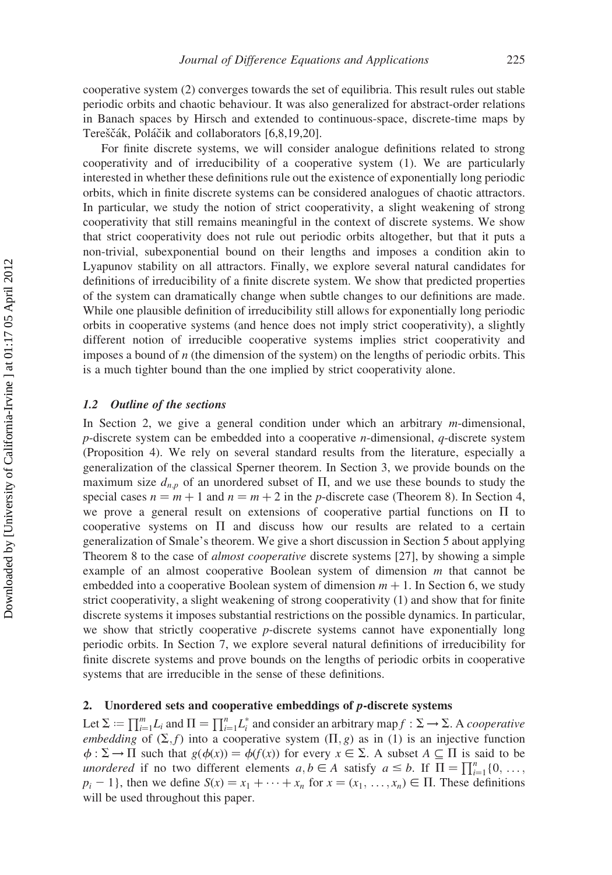cooperative system (2) converges towards the set of equilibria. This result rules out stable periodic orbits and chaotic behaviour. It was also generalized for abstract-order relations in Banach spaces by Hirsch and extended to continuous-space, discrete-time maps by Tereščák, Poláčik and collaborators [6,8,19,20].

For finite discrete systems, we will consider analogue definitions related to strong cooperativity and of irreducibility of a cooperative system (1). We are particularly interested in whether these definitions rule out the existence of exponentially long periodic orbits, which in finite discrete systems can be considered analogues of chaotic attractors. In particular, we study the notion of strict cooperativity, a slight weakening of strong cooperativity that still remains meaningful in the context of discrete systems. We show that strict cooperativity does not rule out periodic orbits altogether, but that it puts a non-trivial, subexponential bound on their lengths and imposes a condition akin to Lyapunov stability on all attractors. Finally, we explore several natural candidates for definitions of irreducibility of a finite discrete system. We show that predicted properties of the system can dramatically change when subtle changes to our definitions are made. While one plausible definition of irreducibility still allows for exponentially long periodic orbits in cooperative systems (and hence does not imply strict cooperativity), a slightly different notion of irreducible cooperative systems implies strict cooperativity and imposes a bound of  $n$  (the dimension of the system) on the lengths of periodic orbits. This is a much tighter bound than the one implied by strict cooperativity alone.

# 1.2 Outline of the sections

In Section 2, we give a general condition under which an arbitrary  $m$ -dimensional,  $p$ -discrete system can be embedded into a cooperative *n*-dimensional,  $q$ -discrete system (Proposition 4). We rely on several standard results from the literature, especially a generalization of the classical Sperner theorem. In Section 3, we provide bounds on the maximum size  $d_{n,p}$  of an unordered subset of  $\Pi$ , and we use these bounds to study the special cases  $n = m + 1$  and  $n = m + 2$  in the p-discrete case (Theorem 8). In Section 4, we prove a general result on extensions of cooperative partial functions on  $\Pi$  to cooperative systems on  $\Pi$  and discuss how our results are related to a certain generalization of Smale's theorem. We give a short discussion in Section 5 about applying Theorem 8 to the case of *almost cooperative* discrete systems [27], by showing a simple example of an almost cooperative Boolean system of dimension  $m$  that cannot be embedded into a cooperative Boolean system of dimension  $m + 1$ . In Section 6, we study strict cooperativity, a slight weakening of strong cooperativity (1) and show that for finite discrete systems it imposes substantial restrictions on the possible dynamics. In particular, we show that strictly cooperative p-discrete systems cannot have exponentially long periodic orbits. In Section 7, we explore several natural definitions of irreducibility for finite discrete systems and prove bounds on the lengths of periodic orbits in cooperative systems that are irreducible in the sense of these definitions.

# 2. Unordered sets and cooperative embeddings of p-discrete systems

Let  $\Sigma := \prod_{i=1}^m L_i$  and  $\Pi = \prod_{i=1}^n L_i^*$  and consider an arbitrary map  $f : \Sigma \to \Sigma$ . A cooperative embedding of  $(\Sigma, f)$  into a cooperative system  $(\Pi, g)$  as in (1) is an injective function  $\phi : \Sigma \to \Pi$  such that  $g(\phi(x)) = \phi(f(x))$  for every  $x \in \Sigma$ . A subset  $A \subseteq \Pi$  is said to be unordered if no two different elements  $a, b \in A$  satisfy  $a \le b$ . If  $\Pi = \prod_{i=1}^{n} \{0, \ldots,$  $p_i - 1$ , then we define  $S(x) = x_1 + \cdots + x_n$  for  $x = (x_1, \ldots, x_n) \in \Pi$ . These definitions will be used throughout this paper.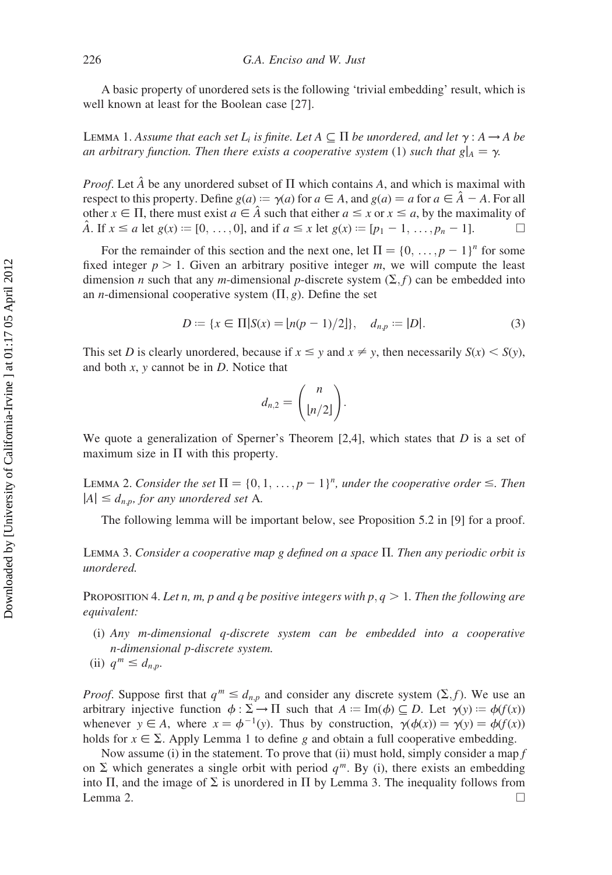A basic property of unordered sets is the following 'trivial embedding' result, which is well known at least for the Boolean case [27].

LEMMA 1. Assume that each set  $L_i$  is finite. Let  $A \subseteq \Pi$  be unordered, and let  $\gamma : A \rightarrow A$  be an arbitrary function. Then there exists a cooperative system (1) such that  $g|_A = \gamma$ .

*Proof.* Let  $\hat{A}$  be any unordered subset of  $\Pi$  which contains A, and which is maximal with respect to this property. Define  $g(a) = \gamma(a)$  for  $a \in A$ , and  $g(a) = a$  for  $a \in \hat{A} - A$ . For all other  $x \in \Pi$ , there must exist  $a \in \hat{A}$  such that either  $a \leq x$  or  $x \leq a$ , by the maximality of A. If  $x \le a$  let  $g(x) := [0, \ldots, 0]$ , and if  $a \le x$  let  $g(x) := [p_1 - 1, \ldots, p_n - 1]$ .

For the remainder of this section and the next one, let  $\Pi = \{0, \ldots, p-1\}^n$  for some fixed integer  $p > 1$ . Given an arbitrary positive integer m, we will compute the least dimension *n* such that any *m*-dimensional *p*-discrete system  $(\Sigma, f)$  can be embedded into an *n*-dimensional cooperative system  $(\Pi, g)$ . Define the set

$$
D := \{ x \in \Pi | S(x) = \lfloor n(p-1)/2 \rfloor \}, \quad d_{n,p} := |D|.
$$
 (3)

This set D is clearly unordered, because if  $x \leq y$  and  $x \neq y$ , then necessarily  $S(x) \leq S(y)$ , and both  $x$ ,  $y$  cannot be in  $D$ . Notice that

$$
d_{n,2}=\binom{n}{\lfloor n/2\rfloor}.
$$

We quote a generalization of Sperner's Theorem  $[2,4]$ , which states that D is a set of maximum size in  $\Pi$  with this property.

LEMMA 2. Consider the set  $\Pi = \{0, 1, ..., p - 1\}^n$ , under the cooperative order  $\leq$ . Then  $|A| \leq d_{n,p}$ , for any unordered set A.

The following lemma will be important below, see Proposition 5.2 in [9] for a proof.

LEMMA 3. Consider a cooperative map g defined on a space  $\Pi$ . Then any periodic orbit is unordered.

PROPOSITION 4. Let n, m, p and q be positive integers with  $p, q > 1$ . Then the following are equivalent:

- (i) Any m-dimensional q-discrete system can be embedded into a cooperative n-dimensional p-discrete system.
- (ii)  $q^m \leq d_{n,p}$ .

*Proof.* Suppose first that  $q^m \leq d_{n,p}$  and consider any discrete system  $(\Sigma, f)$ . We use an arbitrary injective function  $\phi : \Sigma \to \Pi$  such that  $A := \text{Im}(\phi) \subseteq D$ . Let  $\gamma(y) := \phi(f(x))$ whenever  $y \in A$ , where  $x = \phi^{-1}(y)$ . Thus by construction,  $\gamma(\phi(x)) = \gamma(y) = \phi(f(x))$ holds for  $x \in \Sigma$ . Apply Lemma 1 to define g and obtain a full cooperative embedding.

Now assume (i) in the statement. To prove that (ii) must hold, simply consider a map  $f$ on  $\Sigma$  which generates a single orbit with period  $q^m$ . By (i), there exists an embedding into  $\Pi$ , and the image of  $\Sigma$  is unordered in  $\Pi$  by Lemma 3. The inequality follows from Lemma 2.  $\Box$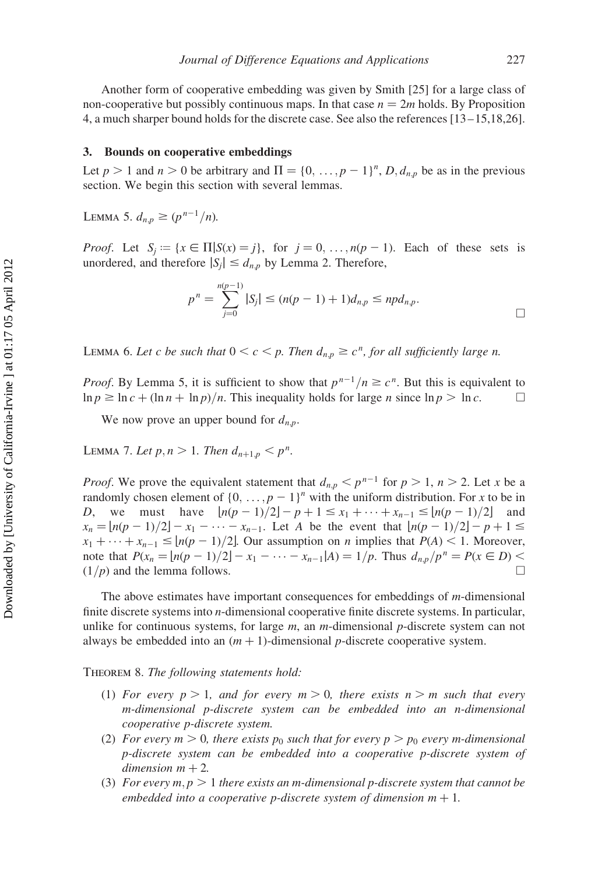Another form of cooperative embedding was given by Smith [25] for a large class of non-cooperative but possibly continuous maps. In that case  $n = 2m$  holds. By Proposition 4, a much sharper bound holds for the discrete case. See also the references [13 –15,18,26].

## 3. Bounds on cooperative embeddings

Let  $p > 1$  and  $n > 0$  be arbitrary and  $\Pi = \{0, \ldots, p - 1\}^n$ ,  $D, d_{n,p}$  be as in the previous section. We begin this section with several lemmas.

LEMMA 5.  $d_{n,p} \ge (p^{n-1}/n)$ .

*Proof.* Let  $S_i := \{x \in \Pi | S(x) = j\}$ , for  $j = 0, \ldots, n(p-1)$ . Each of these sets is unordered, and therefore  $|S_i| \le d_{n,p}$  by Lemma 2. Therefore,

$$
p^{n} = \sum_{j=0}^{n(p-1)} |S_{j}| \le (n(p-1)+1)d_{n,p} \le npd_{n,p}.
$$

LEMMA 6. Let c be such that  $0 < c < p$ . Then  $d_{n,p} \geq c^n$ , for all sufficiently large n.

*Proof.* By Lemma 5, it is sufficient to show that  $p^{n-1}/n \ge c^n$ . But this is equivalent to  $\ln p \geq \ln c + (\ln n + \ln p)/n$ . This inequality holds for large n since  $\ln p > \ln c$ .

We now prove an upper bound for  $d_{n,p}$ .

LEMMA 7. Let  $p, n > 1$ . Then  $d_{n+1,p} < p^n$ .

*Proof.* We prove the equivalent statement that  $d_{n,p} < p^{n-1}$  for  $p > 1$ ,  $n > 2$ . Let x be a randomly chosen element of  $\{0, \ldots, p-1\}^n$  with the uniform distribution. For x to be in D, we must have  $\lfloor n(p-1)/2 \rfloor - p + 1 \le x_1 + \cdots + x_{n-1} \le \lfloor n(p-1)/2 \rfloor$  and  $x_n = [n(p-1)/2] - x_1 - \cdots - x_{n-1}$ . Let A be the event that  $[n(p-1)/2] - p + 1 \le$  $x_1 + \cdots + x_{n-1} \leq \lfloor n(p-1)/2 \rfloor$ . Our assumption on n implies that  $P(A) < 1$ . Moreover, note that  $P(x_n = |n(p-1)/2| - x_1 - \cdots - x_{n-1}|A) = 1/p$ . Thus  $d_{n,p}/p^n = P(x \in D)$  $(1/p)$  and the lemma follows.

The above estimates have important consequences for embeddings of m-dimensional finite discrete systems into n-dimensional cooperative finite discrete systems. In particular, unlike for continuous systems, for large  $m$ , an  $m$ -dimensional  $p$ -discrete system can not always be embedded into an  $(m + 1)$ -dimensional p-discrete cooperative system.

THEOREM 8. The following statements hold:

- (1) For every  $p > 1$ , and for every  $m > 0$ , there exists  $n > m$  such that every m-dimensional p-discrete system can be embedded into an n-dimensional cooperative p-discrete system.
- (2) For every  $m > 0$ , there exists  $p_0$  such that for every  $p > p_0$  every m-dimensional p-discrete system can be embedded into a cooperative p-discrete system of dimension  $m + 2$ .
- (3) For every  $m, p > 1$  there exists an m-dimensional p-discrete system that cannot be embedded into a cooperative p-discrete system of dimension  $m + 1$ .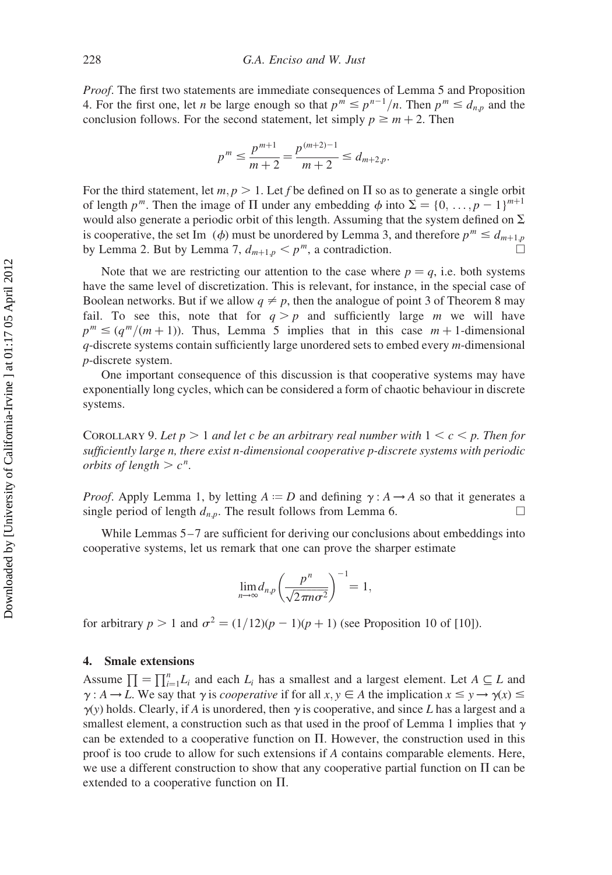Proof. The first two statements are immediate consequences of Lemma 5 and Proposition 4. For the first one, let *n* be large enough so that  $p^m \leq p^{n-1}/n$ . Then  $p^m \leq d_{n,p}$  and the conclusion follows. For the second statement, let simply  $p \ge m + 2$ . Then

$$
p^{m} \le \frac{p^{m+1}}{m+2} = \frac{p^{(m+2)-1}}{m+2} \le d_{m+2,p}.
$$

For the third statement, let  $m, p > 1$ . Let f be defined on  $\Pi$  so as to generate a single orbit of length p<sup>m</sup>. Then the image of  $\Pi$  under any embedding  $\phi$  into  $\Sigma = \{0, \ldots, p - 1\}^{m+1}$ would also generate a periodic orbit of this length. Assuming that the system defined on  $\Sigma$ is cooperative, the set Im  $(\phi)$  must be unordered by Lemma 3, and therefore  $p^m \leq d_{m+1,p}$ by Lemma 2. But by Lemma 7,  $d_{m+1,p} < p^m$ , a contradiction.

Note that we are restricting our attention to the case where  $p = q$ , i.e. both systems have the same level of discretization. This is relevant, for instance, in the special case of Boolean networks. But if we allow  $q \neq p$ , then the analogue of point 3 of Theorem 8 may fail. To see this, note that for  $q > p$  and sufficiently large m we will have  $p^m \leq (q^m/(m+1))$ . Thus, Lemma 5 implies that in this case  $m + 1$ -dimensional  $q$ -discrete systems contain sufficiently large unordered sets to embed every  $m$ -dimensional p-discrete system.

One important consequence of this discussion is that cooperative systems may have exponentially long cycles, which can be considered a form of chaotic behaviour in discrete systems.

COROLLARY 9. Let  $p > 1$  and let c be an arbitrary real number with  $1 \leq c \leq p$ . Then for sufficiently large n, there exist n-dimensional cooperative p-discrete systems with periodic orbits of length  $> c^n$ .

*Proof.* Apply Lemma 1, by letting  $A := D$  and defining  $\gamma : A \rightarrow A$  so that it generates a single period of length  $d_{n,p}$ . The result follows from Lemma 6.

While Lemmas 5–7 are sufficient for deriving our conclusions about embeddings into cooperative systems, let us remark that one can prove the sharper estimate

$$
\lim_{n\to\infty} d_{n,p}\left(\frac{p^n}{\sqrt{2\pi n\sigma^2}}\right)^{-1} = 1,
$$

for arbitrary  $p > 1$  and  $\sigma^2 = (1/12)(p - 1)(p + 1)$  (see Proposition 10 of [10]).

# 4. Smale extensions

Assume  $\prod = \prod_{i=1}^{n} L_i$  and each  $L_i$  has a smallest and a largest element. Let  $A \subseteq L$  and  $\gamma : A \to L$ . We say that  $\gamma$  is *cooperative* if for all  $x, y \in A$  the implication  $x \leq y \to \gamma(x) \leq$  $\gamma(y)$  holds. Clearly, if A is unordered, then  $\gamma$  is cooperative, and since L has a largest and a smallest element, a construction such as that used in the proof of Lemma 1 implies that  $\gamma$ can be extended to a cooperative function on  $\Pi$ . However, the construction used in this proof is too crude to allow for such extensions if A contains comparable elements. Here, we use a different construction to show that any cooperative partial function on  $\Pi$  can be extended to a cooperative function on  $\Pi$ .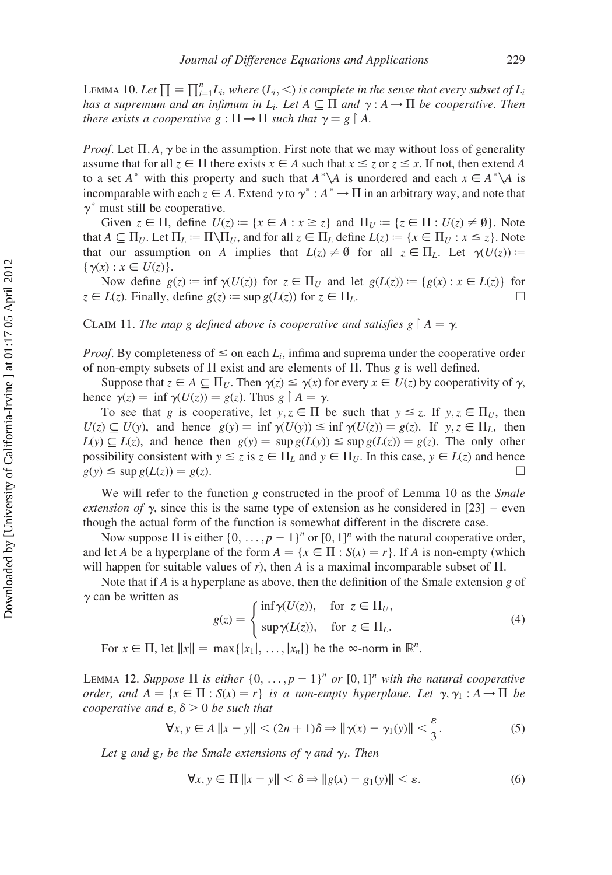LEMMA 10. Let  $\prod = \prod_{i=1}^{n} L_i$ , where  $(L_i, <)$  is complete in the sense that every subset of  $L_i$ has a supremum and an infimum in L<sub>i</sub>. Let  $A \subseteq \Pi$  and  $\gamma : A \to \Pi$  be cooperative. Then there exists a cooperative  $g: \Pi \to \Pi$  such that  $\gamma = g \restriction A$ .

*Proof.* Let  $\Pi, A, \gamma$  be in the assumption. First note that we may without loss of generality assume that for all  $z \in \Pi$  there exists  $x \in A$  such that  $x \le z$  or  $z \le x$ . If not, then extend A to a set  $A^*$  with this property and such that  $A^*\backslash A$  is unordered and each  $x \in A^*\backslash A$  is incomparable with each  $\zeta \in A$ . Extend  $\gamma$  to  $\gamma^* : A^* \to \Pi$  in an arbitrary way, and note that  $\gamma^*$  must still be cooperative.

Given  $z \in \Pi$ , define  $U(z) := \{x \in A : x \geq z\}$  and  $\Pi_U := \{z \in \Pi : U(z) \neq \emptyset\}$ . Note that  $A \subseteq \Pi_U$ . Let  $\Pi_L := \Pi \setminus \Pi_U$ , and for all  $z \in \Pi_L$  define  $L(z) := \{x \in \Pi_U : x \leq z\}$ . Note that our assumption on A implies that  $L(z) \neq \emptyset$  for all  $z \in \Pi_L$ . Let  $\gamma(U(z)) :=$  $\{\gamma(x) : x \in U(z)\}.$ 

Now define  $g(z) := \inf \gamma(U(z))$  for  $z \in \Pi_U$  and let  $g(L(z)) := \{ g(x) : x \in L(z) \}$  for  $z \in L(z)$ . Finally, define  $g(z) := \sup g(L(z))$  for  $z \in \Pi_L$ .

CLAIM 11. The map g defined above is cooperative and satisfies  $g \nvert A = \gamma$ .

*Proof.* By completeness of  $\leq$  on each  $L_i$ , infima and suprema under the cooperative order of non-empty subsets of  $\Pi$  exist and are elements of  $\Pi$ . Thus g is well defined.

Suppose that  $z \in A \subseteq \Pi_U$ . Then  $\gamma(z) \leq \gamma(x)$  for every  $x \in U(z)$  by cooperativity of  $\gamma$ , hence  $\gamma(z) = \inf \gamma(U(z)) = g(z)$ . Thus  $g \upharpoonright A = \gamma$ .

To see that g is cooperative, let  $y, z \in \Pi$  be such that  $y \le z$ . If  $y, z \in \Pi_U$ , then  $U(z) \subseteq U(y)$ , and hence  $g(y) = \inf \gamma(U(y)) \leq \inf \gamma(U(z)) = g(z)$ . If  $y, z \in \Pi_L$ , then  $L(y) \subseteq L(z)$ , and hence then  $g(y) = \sup g(L(y)) \leq \sup g(L(z)) = g(z)$ . The only other possibility consistent with  $y \le z$  is  $z \in \Pi_L$  and  $y \in \Pi_U$ . In this case,  $y \in L(z)$  and hence  $g(y) \le \sup g(L(z)) = g(z).$ 

We will refer to the function g constructed in the proof of Lemma 10 as the Smale extension of  $\gamma$ , since this is the same type of extension as he considered in [23] – even though the actual form of the function is somewhat different in the discrete case.

Now suppose  $\Pi$  is either  $\{0, \ldots, p-1\}^n$  or  $[0, 1]^n$  with the natural cooperative order, and let A be a hyperplane of the form  $A = \{x \in \Pi : S(x) = r\}$ . If A is non-empty (which will happen for suitable values of r), then A is a maximal incomparable subset of  $\Pi$ .

Note that if A is a hyperplane as above, then the definition of the Smale extension g of  $\gamma$  can be written as  $\epsilon$ 

$$
g(z) = \begin{cases} \inf \gamma(U(z)), & \text{for } z \in \Pi_U, \\ \sup \gamma(L(z)), & \text{for } z \in \Pi_L. \end{cases}
$$
 (4)

For  $x \in \Pi$ , let  $||x|| = \max\{|x_1|, \dots, |x_n|\}$  be the  $\infty$ -norm in  $\mathbb{R}^n$ .

LEMMA 12. Suppose  $\Pi$  is either  $\{0, \ldots, p-1\}^n$  or  $[0, 1]^n$  with the natural cooperative order, and  $A = \{x \in \Pi : S(x) = r\}$  is a non-empty hyperplane. Let  $\gamma, \gamma_1 : A \rightarrow \Pi$  be cooperative and  $\varepsilon$ ,  $\delta$  > 0 be such that

$$
\forall x, y \in A \ \|x - y\| < (2n + 1)\delta \Rightarrow \|\gamma(x) - \gamma_1(y)\| < \frac{\varepsilon}{3}.\tag{5}
$$

Let g and  $g_1$  be the Smale extensions of  $\gamma$  and  $\gamma_1$ . Then

$$
\forall x, y \in \Pi \left\|x - y\right\| < \delta \Rightarrow \left\|g(x) - g_1(y)\right\| < \varepsilon. \tag{6}
$$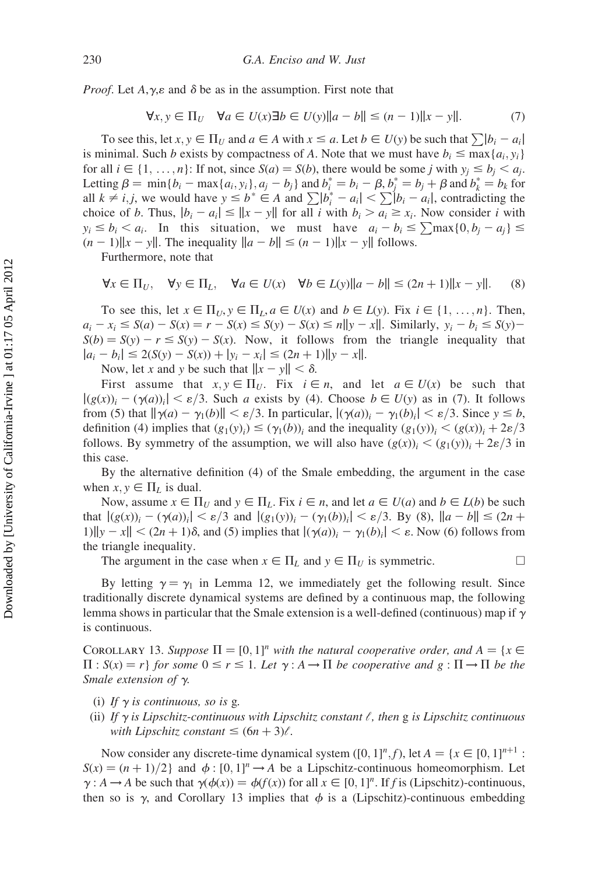*Proof.* Let  $A, \gamma, \varepsilon$  and  $\delta$  be as in the assumption. First note that

$$
\forall x, y \in \Pi_U \quad \forall a \in U(x) \exists b \in U(y) \|a - b\| \le (n - 1) \|x - y\|.
$$
 (7)

To see this, let  $x, y \in \Pi_U$  and  $a \in A$  with  $x \le a$ . Let  $b \in U(y)$  be such that  $\sum |b_i - a_i|$ is minimal. Such b exists by compactness of A. Note that we must have  $b_i \leq \max\{a_i, y_i\}$ for all  $i \in \{1, ..., n\}$ : If not, since  $S(a) = S(b)$ , there would be some j with  $y_i \le b_i < a_i$ . Letting  $\beta = \min\{b_i - \max\{a_i, y_i\}, a_j - b_j\}$  and  $b_i^* = b_i - \beta, b_j^* = b_j + \beta$  and  $b_k^* = b_k$  for all  $k \neq i, j$ , we would have  $y \leq b^* \in A$  and  $\sum |b_i^* - a_i| < \sum |b_i - a_i|$ , contradicting the choice of b. Thus,  $|b_i - a_i| \le ||x - y||$  for all i with  $b_i > a_i \ge x_i$ . Now consider i with  $y_i \le b_i < a_i$ . In this situation, we must have  $a_i - b_i \le \sum_{i} \max\{0, b_i - a_i\} \le$  $(n-1)$ ||x - y||. The inequality  $||a - b|| \le (n-1) ||x - y||$  follows.

Furthermore, note that

$$
\forall x \in \Pi_U, \quad \forall y \in \Pi_L, \quad \forall a \in U(x) \quad \forall b \in L(y) \|a - b\| \le (2n + 1) \|x - y\|. \tag{8}
$$

To see this, let  $x \in \Pi_U$ ,  $y \in \Pi_L$ ,  $a \in U(x)$  and  $b \in L(y)$ . Fix  $i \in \{1, \ldots, n\}$ . Then,  $a_i - x_i \leq S(a) - S(x) = r - S(x) \leq S(y) - S(x) \leq n||y - x||$ . Similarly,  $y_i - b_i \leq S(y) S(b) = S(y) - r \le S(y) - S(x)$ . Now, it follows from the triangle inequality that  $|a_i - b_i| \le 2(S(y) - S(x)) + |y_i - x_i| \le (2n + 1) ||y - x||.$ 

Now, let x and y be such that  $||x - y|| < \delta$ .

First assume that  $x, y \in \Pi_U$ . Fix  $i \in n$ , and let  $a \in U(x)$  be such that  $|g(x)\rangle_i - (\gamma(a))_i| < \varepsilon/3$ . Such a exists by (4). Choose  $b \in U(y)$  as in (7). It follows from (5) that  $\|\gamma(a) - \gamma_1(b)\| < \varepsilon/3$ . In particular,  $|(\gamma(a))_i - \gamma_1(b)_i| < \varepsilon/3$ . Since  $y \le b$ , definition (4) implies that  $(g_1(y_i) \leq (\gamma_1(b))_i$  and the inequality  $(g_1(y))_i < (g(x))_i + 2\varepsilon/3$ follows. By symmetry of the assumption, we will also have  $(g(x))_i < (g_1(y))_i + 2\varepsilon/3$  in this case.

By the alternative definition (4) of the Smale embedding, the argument in the case when  $x, y \in \Pi_L$  is dual.

Now, assume  $x \in \Pi_U$  and  $y \in \Pi_L$ . Fix  $i \in n$ , and let  $a \in U(a)$  and  $b \in L(b)$  be such that  $|(g(x))_i - (\gamma(a))_i| < \varepsilon/3$  and  $|(g_1(y))_i - (\gamma_1(b))_i| < \varepsilon/3$ . By (8),  $||a - b|| \le (2n +$ 1)  $||y - x|| < (2n + 1)\delta$ , and (5) implies that  $|(\gamma(a))_i - \gamma_1(b)_i| < \varepsilon$ . Now (6) follows from the triangle inequality.

The argument in the case when  $x \in \Pi_L$  and  $y \in \Pi_U$  is symmetric.

By letting  $\gamma = \gamma_1$  in Lemma 12, we immediately get the following result. Since traditionally discrete dynamical systems are defined by a continuous map, the following lemma shows in particular that the Smale extension is a well-defined (continuous) map if  $\gamma$ is continuous.

COROLLARY 13. Suppose  $\Pi = [0, 1]^n$  with the natural cooperative order, and  $A = \{x \in$  $\Pi$ :  $S(x) = r$  for some  $0 \le r \le 1$ . Let  $\gamma : A \to \Pi$  be cooperative and  $g : \Pi \to \Pi$  be the Smale extension of  $\gamma$ .

- (i) If  $\gamma$  is continuous, so is g.
- (ii) If  $\gamma$  is Lipschitz-continuous with Lipschitz constant  $\ell$ , then g is Lipschitz continuous with Lipschitz constant  $\leq (6n + 3)\ell$ .

Now consider any discrete-time dynamical system  $([0, 1]^n, f)$ , let  $A = \{x \in [0, 1]^{n+1}$ :  $S(x) = (n + 1)/2$  and  $\phi : [0, 1]^n \rightarrow A$  be a Lipschitz-continuous homeomorphism. Let  $\gamma: A \to A$  be such that  $\gamma(\phi(x)) = \phi(f(x))$  for all  $x \in [0, 1]^n$ . If f is (Lipschitz)-continuous, then so is  $\gamma$ , and Corollary 13 implies that  $\phi$  is a (Lipschitz)-continuous embedding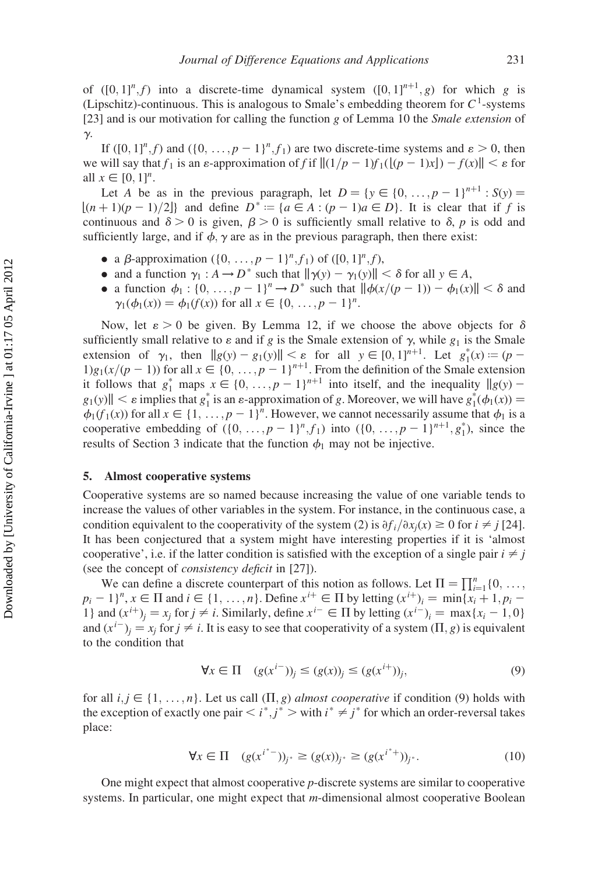of  $([0, 1]^n, f)$  into a discrete-time dynamical system  $([0, 1]^{n+1}, g)$  for which g is (Lipschitz)-continuous. This is analogous to Smale's embedding theorem for  $C<sup>1</sup>$ -systems [23] and is our motivation for calling the function g of Lemma 10 the *Smale extension* of  $\gamma$ .

If  $([0, 1]^n, f)$  and  $(\{0, \ldots, p-1\}^n, f_1)$  are two discrete-time systems and  $\varepsilon > 0$ , then we will say that  $f_1$  is an  $\varepsilon$ -approximation of f if  $||(1/p - 1)f_1((p - 1)x]) - f(x)|| < \varepsilon$  for all  $x \in [0, 1]^n$ .

Let A be as in the previous paragraph, let  $D = \{y \in \{0, ..., p-1\}^{n+1} : S(y) =$  $|(n+1)(p-1)/2|$  and define  $D^* := \{a \in A : (p-1)a \in D\}$ . It is clear that if f is continuous and  $\delta > 0$  is given,  $\beta > 0$  is sufficiently small relative to  $\delta$ , p is odd and sufficiently large, and if  $\phi$ ,  $\gamma$  are as in the previous paragraph, then there exist:

- a  $\beta$ -approximation  $({0, \ldots, p-1}^n, f_1)$  of  $([0, 1]^n, f)$ ,
- and a function  $\gamma_1 : A \to D^*$  such that  $\|\gamma(y) \gamma_1(y)\| < \delta$  for all  $y \in A$ ,
- a function  $\phi_1 : \{0, \ldots, p-1\}^n \to D^*$  such that  $\|\phi(x/(p-1)) \phi_1(x)\| < \delta$  and  $\gamma_1(\phi_1(x)) = \phi_1(f(x))$  for all  $x \in \{0, ..., p - 1\}^n$ .

Now, let  $\varepsilon > 0$  be given. By Lemma 12, if we choose the above objects for  $\delta$ sufficiently small relative to  $\varepsilon$  and if g is the Smale extension of  $\gamma$ , while  $g_1$  is the Smale extension of  $\gamma_1$ , then  $||g(y) - g_1(y)|| < \varepsilon$  for all  $y \in [0, 1]^{n+1}$ . Let  $g_1^*(x) := (p 1)g_1(x/(p-1))$  for all  $x \in \{0, ..., p-1\}^{n+1}$ . From the definition of the Smale extension it follows that  $g_1^*$  maps  $x \in \{0, ..., p-1\}^{n+1}$  into itself, and the inequality  $||g(y)$  $g_1(y)$ ||  $\lt \varepsilon$  implies that  $g_1^*$  is an  $\varepsilon$ -approximation of g. Moreover, we will have  $g_1^*(\phi_1(x)) =$  $\phi_1(f_1(x))$  for all  $x \in \{1, \ldots, p-1\}^n$ . However, we cannot necessarily assume that  $\phi_1$  is a cooperative embedding of  $({0, \ldots, p-1}^n, f_1)$  into  $({0, \ldots, p-1}^{n+1}, g_1^*)$ , since the results of Section 3 indicate that the function  $\phi_1$  may not be injective.

## 5. Almost cooperative systems

Cooperative systems are so named because increasing the value of one variable tends to increase the values of other variables in the system. For instance, in the continuous case, a condition equivalent to the cooperativity of the system (2) is  $\partial f_i/\partial x_i(x) \ge 0$  for  $i \ne j$  [24]. It has been conjectured that a system might have interesting properties if it is 'almost cooperative', i.e. if the latter condition is satisfied with the exception of a single pair  $i \neq j$ (see the concept of consistency deficit in [27]).

We can define a discrete counterpart of this notion as follows. Let  $\Pi = \prod_{i=1}^{n} \{0, \ldots, \}$  $p_i - 1$ <sup>n</sup>,  $x \in \Pi$  and  $i \in \{1, ..., n\}$ . Define  $x^{i+} \in \Pi$  by letting  $(x^{i+})_i = \min\{x_i + 1, p_i - 1\}$ 1} and  $(x^{i+})_i = x_i$  for  $j \neq i$ . Similarly, define  $x^{i-} \in \Pi$  by letting  $(x^{i-})_i = \max\{x_i - 1, 0\}$ and  $(x^{i-})_i = x_i$  for  $j \neq i$ . It is easy to see that cooperativity of a system  $(\Pi, g)$  is equivalent to the condition that

$$
\forall x \in \Pi \quad (g(x^{i-}))_j \le (g(x))_j \le (g(x^{i+}))_j,\tag{9}
$$

for all  $i, j \in \{1, \ldots, n\}$ . Let us call  $(\Pi, g)$  almost cooperative if condition (9) holds with the exception of exactly one pair  $\langle i^*, j^* \rangle$  with  $i^* \neq j^*$  for which an order-reversal takes place:

$$
\forall x \in \Pi \quad (g(x^{i^*-}))_{j^*} \ge (g(x))_{j^*} \ge (g(x^{i^*+}))_{j^*}.
$$
\n(10)

One might expect that almost cooperative p-discrete systems are similar to cooperative systems. In particular, one might expect that *m*-dimensional almost cooperative Boolean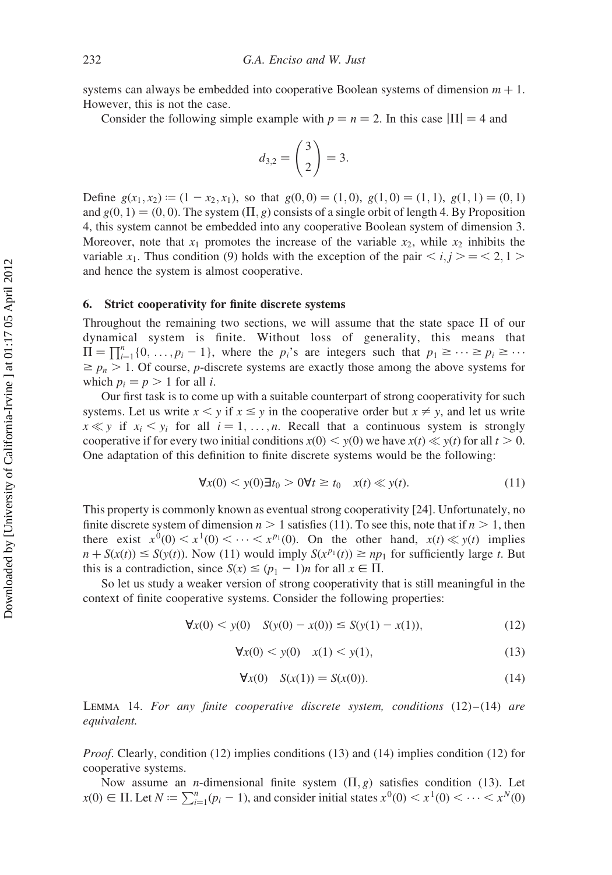systems can always be embedded into cooperative Boolean systems of dimension  $m + 1$ . However, this is not the case.

Consider the following simple example with  $p = n = 2$ . In this case  $|\Pi| = 4$  and

$$
d_{3,2} = \binom{3}{2} = 3.
$$

Define  $g(x_1, x_2) := (1 - x_2, x_1)$ , so that  $g(0, 0) = (1, 0), g(1, 0) = (1, 1), g(1, 1) = (0, 1)$ and  $g(0, 1) = (0, 0)$ . The system  $(\Pi, g)$  consists of a single orbit of length 4. By Proposition 4, this system cannot be embedded into any cooperative Boolean system of dimension 3. Moreover, note that  $x_1$  promotes the increase of the variable  $x_2$ , while  $x_2$  inhibits the variable  $x_1$ . Thus condition (9) holds with the exception of the pair  $\langle i, j \rangle = \langle 2, 1 \rangle$ and hence the system is almost cooperative.

## 6. Strict cooperativity for finite discrete systems

Throughout the remaining two sections, we will assume that the state space  $\Pi$  of our dynamical system is finite. Without loss of generality, this means that  $\Pi = \prod_{i=1}^{n} \{0, \ldots, p_i - 1\}$ , where the  $p_i$ 's are integers such that  $p_1 \geq \cdots \geq p_i \geq \cdots$  $\ge p_n > 1$ . Of course, p-discrete systems are exactly those among the above systems for which  $p_i = p > 1$  for all *i*.

Our first task is to come up with a suitable counterpart of strong cooperativity for such systems. Let us write  $x < y$  if  $x \le y$  in the cooperative order but  $x \ne y$ , and let us write  $x \ll y$  if  $x_i \ll y_i$  for all  $i = 1, ..., n$ . Recall that a continuous system is strongly cooperative if for every two initial conditions  $x(0) \leq y(0)$  we have  $x(t) \leq y(t)$  for all  $t > 0$ . One adaptation of this definition to finite discrete systems would be the following:

$$
\forall x(0) < y(0) \exists t_0 > 0 \forall t \ge t_0 \quad x(t) \ll y(t). \tag{11}
$$

This property is commonly known as eventual strong cooperativity [24]. Unfortunately, no finite discrete system of dimension  $n > 1$  satisfies (11). To see this, note that if  $n > 1$ , then there exist  $x^0(0) \le x^1(0) \le \cdots \le x^{p_1}(0)$ . On the other hand,  $x(t) \le y(t)$  implies  $n + S(x(t)) \leq S(y(t))$ . Now (11) would imply  $S(x^{p_1}(t)) \geq np_1$  for sufficiently large t. But this is a contradiction, since  $S(x) \leq (p_1 - 1)n$  for all  $x \in \Pi$ .

So let us study a weaker version of strong cooperativity that is still meaningful in the context of finite cooperative systems. Consider the following properties:

$$
\forall x(0) < y(0) \quad S(y(0) - x(0)) \le S(y(1) - x(1)),\tag{12}
$$

$$
\forall x(0) < y(0) \quad x(1) < y(1),\tag{13}
$$

$$
\forall x(0) \quad S(x(1)) = S(x(0)). \tag{14}
$$

LEMMA 14. For any finite cooperative discrete system, conditions  $(12)$ – $(14)$  are equivalent.

Proof. Clearly, condition (12) implies conditions (13) and (14) implies condition (12) for cooperative systems.

Now assume an *n*-dimensional finite system  $(\Pi, g)$  satisfies condition (13). Let  $x(0) \in \Pi$ . Let  $N := \sum_{i=1}^{n} (p_i - 1)$ , and consider initial states  $x^0(0) \lt x^1(0) \lt \cdots \lt x^N(0)$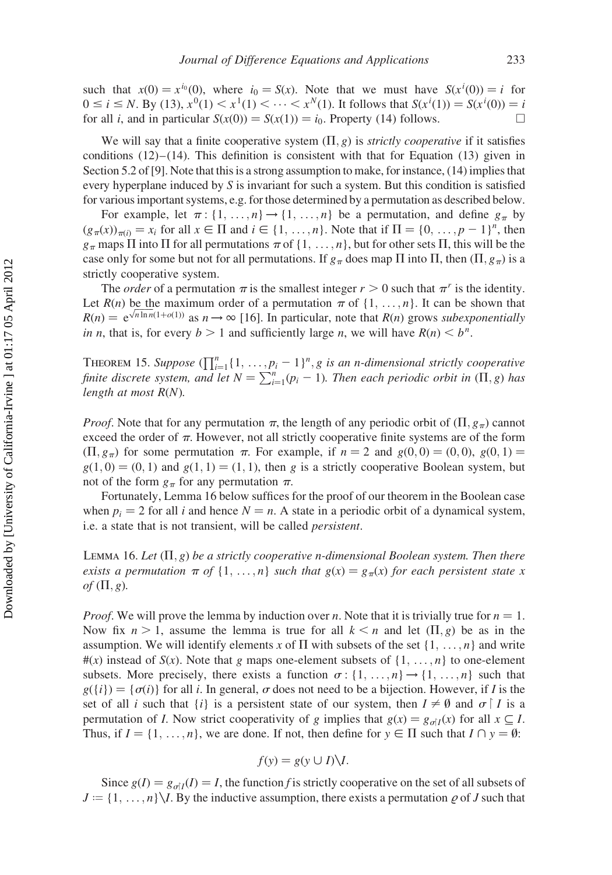such that  $x(0) = x^{i_0}(0)$ , where  $i_0 = S(x)$ . Note that we must have  $S(x^{i}(0)) = i$  for  $0 \le i \le N$ . By (13),  $x^0(1) < x^1(1) < \cdots < x^N(1)$ . It follows that  $S(x^i(1)) = S(x^i(0)) = i$ for all *i*, and in particular  $S(x(0)) = S(x(1)) = i_0$ . Property (14) follows.

We will say that a finite cooperative system  $(\Pi, g)$  is *strictly cooperative* if it satisfies conditions  $(12)$ – $(14)$ . This definition is consistent with that for Equation (13) given in Section 5.2 of [9]. Note that this is a strong assumption to make, for instance, (14) implies that every hyperplane induced by  $S$  is invariant for such a system. But this condition is satisfied for various important systems, e.g. for those determined by a permutation as described below.

For example, let  $\pi$ : {1, ..., n}  $\rightarrow$  {1, ..., n} be a permutation, and define  $g_{\pi}$  by  $(g_{\pi}(x))_{\pi(i)} = x_i$  for all  $x \in \Pi$  and  $i \in \{1, \ldots, n\}$ . Note that if  $\Pi = \{0, \ldots, p-1\}^n$ , then  $g_{\pi}$  maps  $\Pi$  into  $\Pi$  for all permutations  $\pi$  of  $\{1, \ldots, n\}$ , but for other sets  $\Pi$ , this will be the case only for some but not for all permutations. If  $g_\pi$  does map  $\Pi$  into  $\Pi$ , then  $(\Pi, g_\pi)$  is a strictly cooperative system.

The *order* of a permutation  $\pi$  is the smallest integer  $r > 0$  such that  $\pi^r$  is the identity. Let  $R(n)$  be the maximum order of a permutation  $\pi$  of  $\{1, \ldots, n\}$ . It can be shown that Let  $R(n)$  be the maximum order of a permutation  $\pi$  or  $\{1, \ldots, n\}$ . It can be shown that  $R(n) = e^{\sqrt{n \ln n}(1 + o(1))}$  as  $n \to \infty$  [16]. In particular, note that  $R(n)$  grows subexponentially in n, that is, for every  $b > 1$  and sufficiently large n, we will have  $R(n) < b^n$ .

THEOREM 15. Suppose  $(\prod_{i=1}^n \{1, \ldots, p_i-1\}^n, g$  is an n-dimensional strictly cooperative finite discrete system, and let  $N = \sum_{i=1}^{n} (p_i - 1)$ . Then each periodic orbit in  $(\Pi, g)$  has length at most  $R(N)$ .

*Proof.* Note that for any permutation  $\pi$ , the length of any periodic orbit of  $(\Pi, g_{\pi})$  cannot exceed the order of  $\pi$ . However, not all strictly cooperative finite systems are of the form  $(\Pi, g_{\pi})$  for some permutation  $\pi$ . For example, if  $n = 2$  and  $g(0, 0) = (0, 0), g(0, 1) =$  $g(1,0) = (0,1)$  and  $g(1, 1) = (1, 1)$ , then g is a strictly cooperative Boolean system, but not of the form  $g_\pi$  for any permutation  $\pi$ .

Fortunately, Lemma 16 below suffices for the proof of our theorem in the Boolean case when  $p_i = 2$  for all i and hence  $N = n$ . A state in a periodic orbit of a dynamical system, i.e. a state that is not transient, will be called persistent.

LEMMA 16. Let  $(\Pi, g)$  be a strictly cooperative n-dimensional Boolean system. Then there exists a permutation  $\pi$  of  $\{1, \ldots, n\}$  such that  $g(x) = g_{\pi}(x)$  for each persistent state x of  $(\Pi, g)$ .

*Proof.* We will prove the lemma by induction over *n*. Note that it is trivially true for  $n = 1$ . Now fix  $n > 1$ , assume the lemma is true for all  $k \le n$  and let  $(\Pi, g)$  be as in the assumption. We will identify elements x of  $\Pi$  with subsets of the set  $\{1, \ldots, n\}$  and write  $\#(x)$  instead of  $S(x)$ . Note that g maps one-element subsets of  $\{1, \ldots, n\}$  to one-element subsets. More precisely, there exists a function  $\sigma : \{1, \ldots, n\} \rightarrow \{1, \ldots, n\}$  such that  $g({i}) = {\sigma(i)}$  for all i. In general,  $\sigma$  does not need to be a bijection. However, if I is the set of all i such that  $\{i\}$  is a persistent state of our system, then  $I \neq \emptyset$  and  $\sigma \upharpoonright I$  is a permutation of *I*. Now strict cooperativity of g implies that  $g(x) = g_{\sigma|I}(x)$  for all  $x \subseteq I$ . Thus, if  $I = \{1, ..., n\}$ , we are done. If not, then define for  $y \in \Pi$  such that  $I \cap y = \emptyset$ :

$$
f(y) = g(y \cup I)\setminus I.
$$

Since  $g(I) = g_{\sigma I}(I) = I$ , the function f is strictly cooperative on the set of all subsets of  $J := \{1, \ldots, n\}\setminus I$ . By the inductive assumption, there exists a permutation  $\rho$  of J such that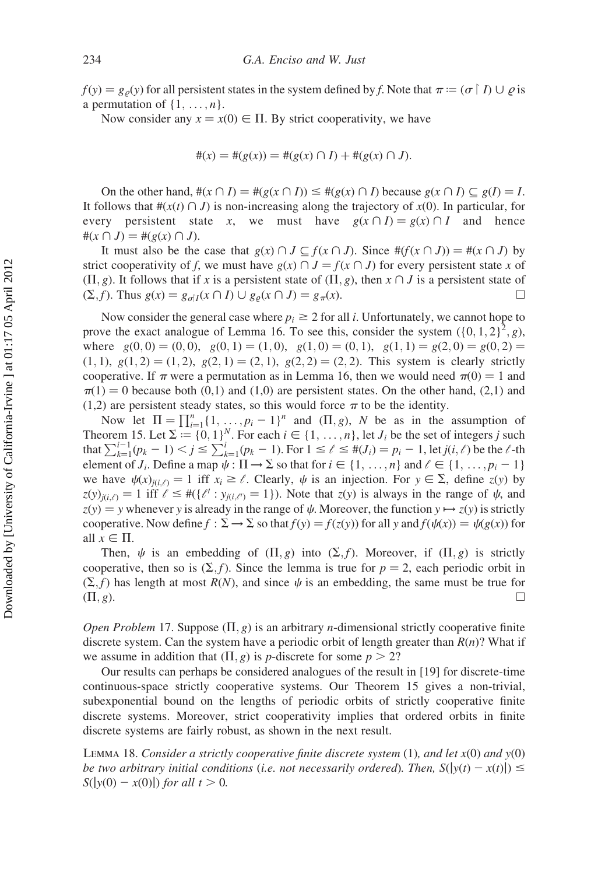$f(y) = g_{\rho}(y)$  for all persistent states in the system defined by f. Note that  $\pi = (\sigma \restriction I) \cup \rho$  is a permutation of  $\{1, \ldots, n\}$ .

Now consider any  $x = x(0) \in \Pi$ . By strict cooperativity, we have

$$
#(x) = #(g(x)) = #(g(x) \cap I) + #(g(x) \cap J).
$$

On the other hand,  $\#(x \cap I) = \#(g(x \cap I)) \leq \#(g(x) \cap I)$  because  $g(x \cap I) \subset g(I) = I$ . It follows that  $\#(x(t) \cap J)$  is non-increasing along the trajectory of  $x(0)$ . In particular, for every persistent state x, we must have  $g(x \cap I) = g(x) \cap I$  and hence  $#(x \cap J) = #(g(x) \cap J).$ 

It must also be the case that  $g(x) \cap J \subseteq f(x \cap J)$ . Since  $\#(f(x \cap J)) = \#(x \cap J)$  by strict cooperativity of f, we must have  $g(x) \cap J = f(x \cap J)$  for every persistent state x of  $(\Pi, g)$ . It follows that if x is a persistent state of  $(\Pi, g)$ , then  $x \cap J$  is a persistent state of  $(\Sigma, f)$ . Thus  $g(x) = g_{\sigma | I}(x \cap I) \cup g_{\rho}(x \cap J) = g_{\pi}(x)$ .

Now consider the general case where  $p_i \geq 2$  for all i. Unfortunately, we cannot hope to prove the exact analogue of Lemma 16. To see this, consider the system  $({0, 1, 2})^2$ , g), where  $g(0, 0) = (0, 0), g(0, 1) = (1, 0), g(1, 0) = (0, 1), g(1, 1) = g(2, 0) = g(0, 2) =$  $(1, 1), g(1, 2) = (1, 2), g(2, 1) = (2, 1), g(2, 2) = (2, 2).$  This system is clearly strictly cooperative. If  $\pi$  were a permutation as in Lemma 16, then we would need  $\pi(0) = 1$  and  $\pi(1) = 0$  because both (0,1) and (1,0) are persistent states. On the other hand, (2,1) and (1,2) are persistent steady states, so this would force  $\pi$  to be the identity.

Now let  $\Pi = \prod_{i=1}^{n} \{1, \ldots, p_i - 1\}^n$  and  $(\Pi, g)$ , N be as in the assumption of Theorem 15. Let  $\Sigma := \{0, 1\}^N$ . For each  $i \in \{1, ..., n\}$ , let  $J_i$  be the set of integers j such that  $\sum_{k=1}^{i-1} (p_k - 1) < j \le \sum_{k=1}^{i} (p_k - 1)$ . For  $1 \le \ell \le \#(J_i) = p_i - 1$ , let  $j(i, \ell)$  be the  $\ell$ -th element of  $J_i$ . Define a map  $\psi : \Pi \to \Sigma$  so that for  $i \in \{1, ..., n\}$  and  $\ell \in \{1, ..., p_i - 1\}$ we have  $\psi(x)_{i\in\Omega} = 1$  iff  $x_i \geq \ell$ . Clearly,  $\psi$  is an injection. For  $y \in \Sigma$ , define  $z(y)$  by  $z(y)_{j(i,\ell)} = 1$  iff  $\ell \leq #({\ell': y_{j(i,\ell')} = 1})$ . Note that  $z(y)$  is always in the range of  $\psi$ , and  $z(y) = y$  whenever y is already in the range of  $\psi$ . Moreover, the function  $y \mapsto z(y)$  is strictly cooperative. Now define  $f : \Sigma \to \Sigma$  so that  $f(y) = f(z(y))$  for all y and  $f(\psi(x)) = \psi(g(x))$  for all  $x \in \Pi$ .

Then,  $\psi$  is an embedding of  $(\Pi, g)$  into  $(\Sigma, f)$ . Moreover, if  $(\Pi, g)$  is strictly cooperative, then so is  $(\Sigma, f)$ . Since the lemma is true for  $p = 2$ , each periodic orbit in  $(\Sigma, f)$  has length at most  $R(N)$ , and since  $\psi$  is an embedding, the same must be true for  $(\Pi, g)$ .

*Open Problem* 17. Suppose  $(\Pi, g)$  is an arbitrary *n*-dimensional strictly cooperative finite discrete system. Can the system have a periodic orbit of length greater than  $R(n)$ ? What if we assume in addition that  $(\Pi, g)$  is p-discrete for some  $p > 2$ ?

Our results can perhaps be considered analogues of the result in [19] for discrete-time continuous-space strictly cooperative systems. Our Theorem 15 gives a non-trivial, subexponential bound on the lengths of periodic orbits of strictly cooperative finite discrete systems. Moreover, strict cooperativity implies that ordered orbits in finite discrete systems are fairly robust, as shown in the next result.

LEMMA 18. Consider a strictly cooperative finite discrete system  $(1)$ , and let  $x(0)$  and  $y(0)$ be two arbitrary initial conditions (i.e. not necessarily ordered). Then,  $S(|y(t) - x(t)|) \leq$  $S(|y(0) - x(0)|)$  for all  $t > 0$ .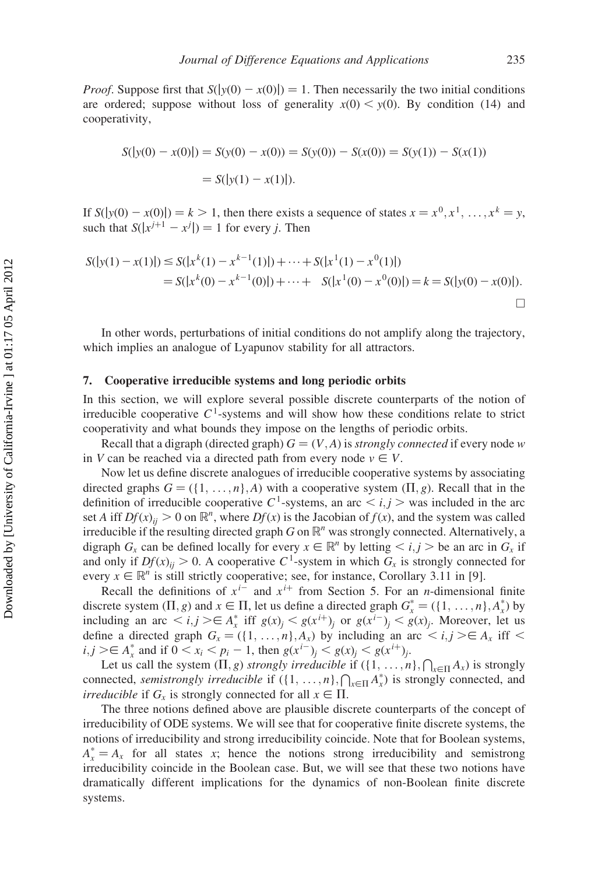*Proof.* Suppose first that  $S(|y(0) - x(0)|) = 1$ . Then necessarily the two initial conditions are ordered; suppose without loss of generality  $x(0) \le y(0)$ . By condition (14) and cooperativity,

$$
S(|y(0) - x(0)|) = S(y(0) - x(0)) = S(y(0)) - S(x(0)) = S(y(1)) - S(x(1))
$$
  
= S(|y(1) - x(1)|).

If  $S(|y(0) - x(0)|) = k > 1$ , then there exists a sequence of states  $x = x^0, x^1, \ldots, x^k = y$ , such that  $S(|x^{j+1} - x^j|) = 1$  for every j. Then

$$
S(|y(1) - x(1)|) \leq S(|x^k(1) - x^{k-1}(1)|) + \dots + S(|x^1(1) - x^0(1)|)
$$
  
=  $S(|x^k(0) - x^{k-1}(0)|) + \dots + S(|x^1(0) - x^0(0)|) = k = S(|y(0) - x(0)|).$ 

In other words, perturbations of initial conditions do not amplify along the trajectory, which implies an analogue of Lyapunov stability for all attractors.

## 7. Cooperative irreducible systems and long periodic orbits

In this section, we will explore several possible discrete counterparts of the notion of irreducible cooperative  $C<sup>1</sup>$ -systems and will show how these conditions relate to strict cooperativity and what bounds they impose on the lengths of periodic orbits.

Recall that a digraph (directed graph)  $G = (V, A)$  is *strongly connected* if every node w in V can be reached via a directed path from every node  $v \in V$ .

Now let us define discrete analogues of irreducible cooperative systems by associating directed graphs  $G = (\{1, \ldots, n\}, A)$  with a cooperative system  $(\Pi, g)$ . Recall that in the definition of irreducible cooperative C<sup>1</sup>-systems, an arc  $\langle i, j \rangle$  was included in the arc set A iff  $Df(x)_{ij} > 0$  on  $\mathbb{R}^n$ , where  $Df(x)$  is the Jacobian of  $f(x)$ , and the system was called irreducible if the resulting directed graph G on  $\mathbb{R}^n$  was strongly connected. Alternatively, a digraph  $G_x$  can be defined locally for every  $x \in \mathbb{R}^n$  by letting  $\langle i, j \rangle$  be an arc in  $G_x$  if and only if  $Df(x)_{ii} > 0$ . A cooperative C<sup>1</sup>-system in which  $G_x$  is strongly connected for every  $x \in \mathbb{R}^n$  is still strictly cooperative; see, for instance, Corollary 3.11 in [9].

Recall the definitions of  $x^{i-}$  and  $x^{i+}$  from Section 5. For an *n*-dimensional finite discrete system  $(\Pi, g)$  and  $x \in \Pi$ , let us define a directed graph  $G_x^* = (\{1, ..., n\}, A_x^*)$  by including an arc  $\langle i, j \rangle \in A_x^*$  iff  $g(x)_j \langle g(x^{i+1}) \rangle$  or  $g(x^{i-1}) \langle g(x)_j \rangle$ . Moreover, let us define a directed graph  $G_x = (\{1, ..., n\}, A_x)$  by including an arc  $\langle i, j \rangle \in A_x$  iff  $\langle j \rangle$  $i, j \geq \in A_x^*$  and if  $0 < x_i < p_i - 1$ , then  $g(x^{i-})_j < g(x)_j < g(x^{i+})_j$ .

Let us call the system  $(\Pi, g)$  *strongly irreducible* if  $(\{1, ..., n\}, \bigcap_{x \in \Pi} A_x)$  is strongly connected, *semistrongly irreducible* if  $(\{1, ..., n\}, \bigcap_{x \in \Pi} A_x^*)$  is strongly connected, and *irreducible* if  $G_x$  is strongly connected for all  $x \in \Pi$ .

The three notions defined above are plausible discrete counterparts of the concept of irreducibility of ODE systems. We will see that for cooperative finite discrete systems, the notions of irreducibility and strong irreducibility coincide. Note that for Boolean systems,  $A_x^* = A_x$  for all states x; hence the notions strong irreducibility and semistrong irreducibility coincide in the Boolean case. But, we will see that these two notions have dramatically different implications for the dynamics of non-Boolean finite discrete systems.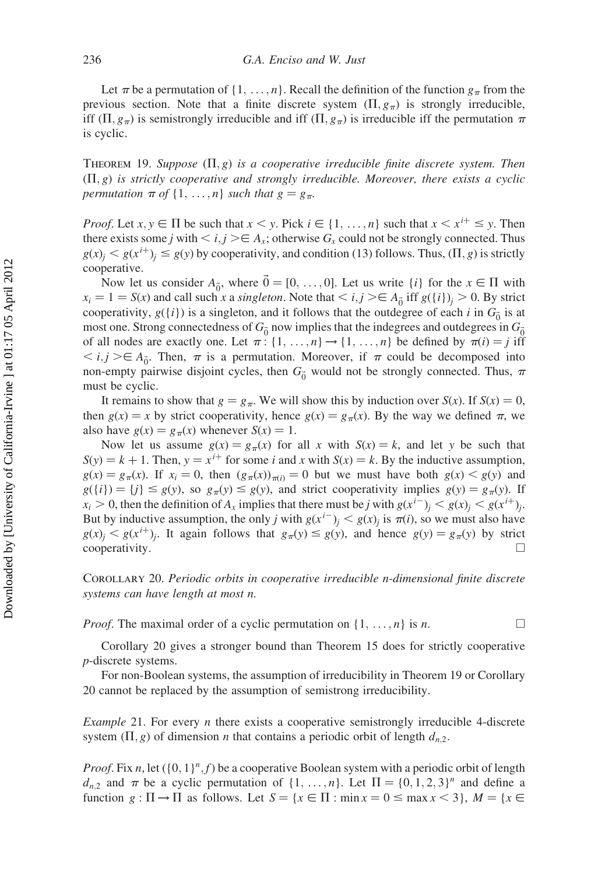Let  $\pi$  be a permutation of  $\{1, \ldots, n\}$ . Recall the definition of the function  $g_{\pi}$  from the previous section. Note that a finite discrete system  $(\Pi, g_{\pi})$  is strongly irreducible, iff  $(\Pi, g_{\pi})$  is semistrongly irreducible and iff  $(\Pi, g_{\pi})$  is irreducible iff the permutation  $\pi$ is cyclic.

THEOREM 19. Suppose  $(\Pi, g)$  is a cooperative irreducible finite discrete system. Then  $(\Pi, g)$  is strictly cooperative and strongly irreducible. Moreover, there exists a cyclic permutation  $\pi$  of  $\{1, \ldots, n\}$  such that  $g = g_{\pi}$ .

*Proof.* Let  $x, y \in \Pi$  be such that  $x < y$ . Pick  $i \in \{1, ..., n\}$  such that  $x < x^{i+1} \leq y$ . Then there exists some j with  $\lt i, j \gt \in A_x$ ; otherwise  $G_x$  could not be strongly connected. Thus  $g(x)$ <sub>i</sub>  $\leq g(x^{i+1})$ <sub>i</sub>  $\leq g(y)$  by cooperativity, and condition (13) follows. Thus,  $(\Pi, g)$  is strictly cooperative.

Now let us consider  $A_{\vec{0}}$ , where  $\vec{0} = [0, \ldots, 0]$ . Let us write  $\{i\}$  for the  $x \in \Pi$  with  $x_i = 1 = S(x)$  and call such x a singleton. Note that  $\langle i, j \rangle \in A_{\vec{0}}$  iff  $g({i})_j > 0$ . By strict cooperativity,  $g({i})$  is a singleton, and it follows that the outdegree of each i in  $G_{\vec{0}}$  is at most one. Strong connectedness of  $G_{\vec{0}}$  now implies that the indegrees and outdegrees in  $G_{\vec{0}}$ of all nodes are exactly one. Let  $\pi$ : {1, ..., n}  $\rightarrow$  {1, ..., n} be defined by  $\pi(i) = j$  iff  $\langle i, j \rangle \in A_{\vec{0}}$ . Then,  $\pi$  is a permutation. Moreover, if  $\pi$  could be decomposed into non-empty pairwise disjoint cycles, then  $G_{\vec{0}}$  would not be strongly connected. Thus,  $\pi$ must be cyclic.

It remains to show that  $g = g_\pi$ . We will show this by induction over  $S(x)$ . If  $S(x) = 0$ , then  $g(x) = x$  by strict cooperativity, hence  $g(x) = g_\pi(x)$ . By the way we defined  $\pi$ , we also have  $g(x) = g_{\pi}(x)$  whenever  $S(x) = 1$ .

Now let us assume  $g(x) = g_{\pi}(x)$  for all x with  $S(x) = k$ , and let y be such that  $S(y) = k + 1$ . Then,  $y = x^{i+}$  for some i and x with  $S(x) = k$ . By the inductive assumption,  $g(x) = g_\pi(x)$ . If  $x_i = 0$ , then  $(g_\pi(x))_{\pi(i)} = 0$  but we must have both  $g(x) < g(y)$  and  $g({i}) = {j} \le g(y)$ , so  $g_{\pi}(y) \le g(y)$ , and strict cooperativity implies  $g(y) = g_{\pi}(y)$ . If  $x_i > 0$ , then the definition of  $A_x$  implies that there must be j with  $g(x^{i-})_i < g(x)_i < g(x^{i+})_i$ . But by inductive assumption, the only j with  $g(x^{i-})_i < g(x)_i$  is  $\pi(i)$ , so we must also have  $g(x)$ <sub>i</sub>  $\leq g(x^{i+1})$ <sub>i</sub>. It again follows that  $g_\pi(y) \leq g(y)$ , and hence  $g(y) = g_\pi(y)$  by strict cooperativity.

Corollary 20. Periodic orbits in cooperative irreducible n-dimensional finite discrete systems can have length at most n.

*Proof.* The maximal order of a cyclic permutation on  $\{1, \ldots, n\}$  is n.

Corollary 20 gives a stronger bound than Theorem 15 does for strictly cooperative p-discrete systems.

For non-Boolean systems, the assumption of irreducibility in Theorem 19 or Corollary 20 cannot be replaced by the assumption of semistrong irreducibility.

*Example* 21. For every *n* there exists a cooperative semistrongly irreducible 4-discrete system  $(\Pi, g)$  of dimension *n* that contains a periodic orbit of length  $d_{n,2}$ .

*Proof.* Fix n, let  $({0, 1}^n, f)$  be a cooperative Boolean system with a periodic orbit of length  $d_{n,2}$  and  $\pi$  be a cyclic permutation of  $\{1, \ldots, n\}$ . Let  $\Pi = \{0, 1, 2, 3\}^n$  and define a function  $g : \Pi \to \Pi$  as follows. Let  $S = \{x \in \Pi : \min x = 0 \le \max x < 3\}, M = \{x \in \Pi : \Pi \to \Pi\}$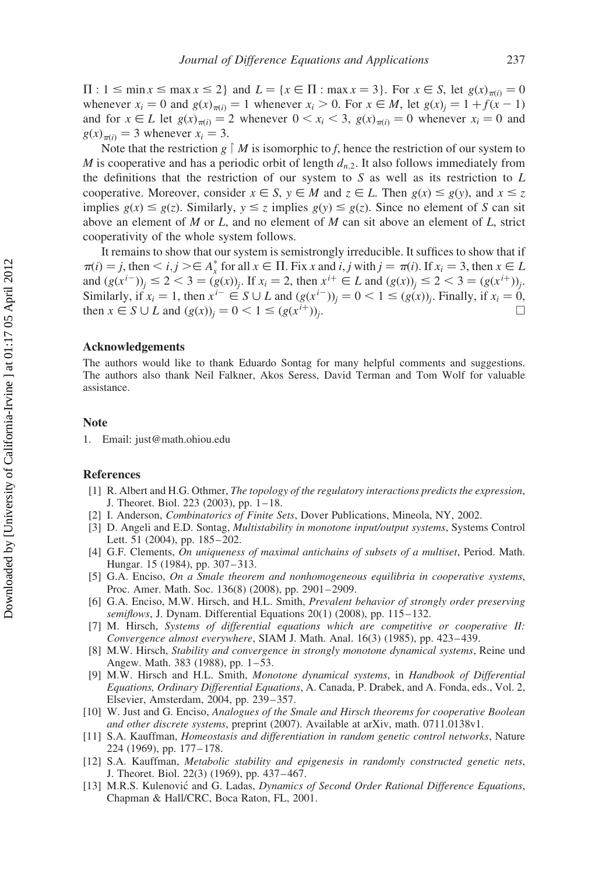$\Pi: 1 \leq \min x \leq \max x \leq 2$  and  $L = \{x \in \Pi : \max x = 3\}$ . For  $x \in S$ , let  $g(x)_{\pi(i)} = 0$ whenever  $x_i = 0$  and  $g(x)_{\pi(i)} = 1$  whenever  $x_i > 0$ . For  $x \in M$ , let  $g(x)_{i} = 1 + f(x - 1)$ and for  $x \in L$  let  $g(x)_{\pi(i)} = 2$  whenever  $0 \le x_i \le 3$ ,  $g(x)_{\pi(i)} = 0$  whenever  $x_i = 0$  and  $g(x)_{\pi(i)} = 3$  whenever  $x_i = 3$ .

Note that the restriction g  $\mid M$  is isomorphic to f, hence the restriction of our system to M is cooperative and has a periodic orbit of length  $d_{n,2}$ . It also follows immediately from the definitions that the restriction of our system to  $S$  as well as its restriction to  $L$ cooperative. Moreover, consider  $x \in S$ ,  $y \in M$  and  $z \in L$ . Then  $g(x) \leq g(y)$ , and  $x \leq z$ implies  $g(x) \leq g(z)$ . Similarly,  $y \leq z$  implies  $g(y) \leq g(z)$ . Since no element of S can sit above an element of M or L, and no element of M can sit above an element of L, strict cooperativity of the whole system follows.

It remains to show that our system is semistrongly irreducible. It suffices to show that if  $\pi(i) = j$ , then  $\lt i, j \gt \in A_x^*$  for all  $x \in \Pi$ . Fix x and i, j with  $j = \pi(i)$ . If  $x_i = 3$ , then  $x \in L$ and  $(g(x^{i-}))_i \leq 2 < 3 = (g(x))_i$ . If  $x_i = 2$ , then  $x^{i+} \in L$  and  $(g(x))_i \leq 2 < 3 = (g(x^{i+}))_i$ . Similarly, if  $x_i = 1$ , then  $x^{i-} \in S \cup L$  and  $(g(x^{i-}))_i = 0 < 1 \le (g(x))_i$ . Finally, if  $x_i = 0$ , then  $x \in S \cup L$  and  $(g(x))_i = 0 < 1 \le (g(x^{i+}))_i$ .

## Acknowledgements

The authors would like to thank Eduardo Sontag for many helpful comments and suggestions. The authors also thank Neil Falkner, Akos Seress, David Terman and Tom Wolf for valuable assistance.

## Note

1. Email: just@math.ohiou.edu

#### References

- [1] R. Albert and H.G. Othmer, The topology of the regulatory interactions predicts the expression, J. Theoret. Biol. 223 (2003), pp. 1 – 18.
- [2] I. Anderson, *Combinatorics of Finite Sets*, Dover Publications, Mineola, NY, 2002.
- [3] D. Angeli and E.D. Sontag, *Multistability in monotone input/output systems*, Systems Control Lett. 51 (2004), pp. 185–202.
- [4] G.F. Clements, On uniqueness of maximal antichains of subsets of a multiset, Period. Math. Hungar. 15 (1984), pp. 307–313.
- [5] G.A. Enciso, On a Smale theorem and nonhomogeneous equilibria in cooperative systems, Proc. Amer. Math. Soc. 136(8) (2008), pp. 2901 –2909.
- [6] G.A. Enciso, M.W. Hirsch, and H.L. Smith, Prevalent behavior of strongly order preserving semiflows, J. Dynam. Differential Equations 20(1) (2008), pp. 115-132.
- [7] M. Hirsch, Systems of differential equations which are competitive or cooperative II: Convergence almost everywhere, SIAM J. Math. Anal. 16(3) (1985), pp. 423-439.
- [8] M.W. Hirsch, Stability and convergence in strongly monotone dynamical systems, Reine und Angew. Math. 383 (1988), pp. 1–53.
- [9] M.W. Hirsch and H.L. Smith, Monotone dynamical systems, in Handbook of Differential Equations, Ordinary Differential Equations, A. Canada, P. Drabek, and A. Fonda, eds., Vol. 2, Elsevier, Amsterdam, 2004, pp. 239– 357.
- [10] W. Just and G. Enciso, Analogues of the Smale and Hirsch theorems for cooperative Boolean and other discrete systems, preprint (2007). Available at arXiv, math. 0711.0138v1.
- [11] S.A. Kauffman, Homeostasis and differentiation in random genetic control networks, Nature 224 (1969), pp. 177– 178.
- [12] S.A. Kauffman, Metabolic stability and epigenesis in randomly constructed genetic nets, J. Theoret. Biol. 22(3) (1969), pp. 437– 467.
- [13] M.R.S. Kulenović and G. Ladas, Dynamics of Second Order Rational Difference Equations, Chapman & Hall/CRC, Boca Raton, FL, 2001.